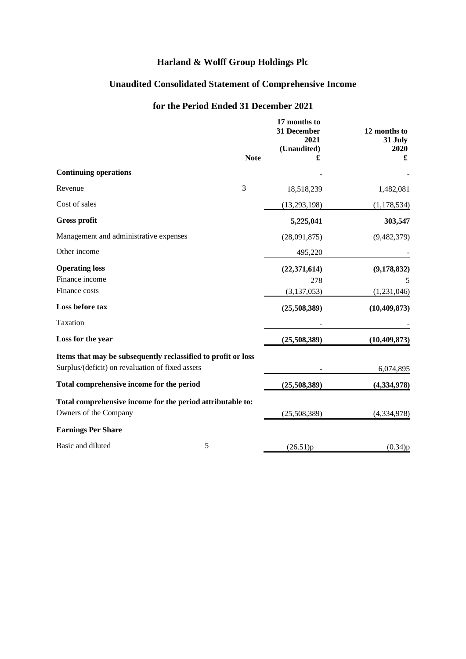# **Unaudited Consolidated Statement of Comprehensive Income**

# **for the Period Ended 31 December 2021**

|                                                               |             | 17 months to<br>31 December<br>2021<br>(Unaudited) | 12 months to<br>31 July<br>2020 |
|---------------------------------------------------------------|-------------|----------------------------------------------------|---------------------------------|
|                                                               | <b>Note</b> | £                                                  | £                               |
| <b>Continuing operations</b>                                  |             |                                                    |                                 |
| Revenue                                                       | 3           | 18,518,239                                         | 1,482,081                       |
| Cost of sales                                                 |             | (13, 293, 198)                                     | (1, 178, 534)                   |
| <b>Gross profit</b>                                           |             | 5,225,041                                          | 303,547                         |
| Management and administrative expenses                        |             | (28,091,875)                                       | (9,482,379)                     |
| Other income                                                  |             | 495,220                                            |                                 |
| <b>Operating loss</b>                                         |             | (22, 371, 614)                                     | (9,178,832)                     |
| Finance income                                                |             | 278                                                | 5                               |
| Finance costs                                                 |             | (3, 137, 053)                                      | (1,231,046)                     |
| Loss before tax                                               |             | (25,508,389)                                       | (10, 409, 873)                  |
| Taxation                                                      |             |                                                    |                                 |
| Loss for the year                                             |             | (25,508,389)                                       | (10, 409, 873)                  |
| Items that may be subsequently reclassified to profit or loss |             |                                                    |                                 |
| Surplus/(deficit) on revaluation of fixed assets              |             |                                                    | 6,074,895                       |
| Total comprehensive income for the period                     |             | (25,508,389)                                       | (4, 334, 978)                   |
| Total comprehensive income for the period attributable to:    |             |                                                    |                                 |
| Owners of the Company                                         |             | (25,508,389)                                       | (4, 334, 978)                   |
| <b>Earnings Per Share</b>                                     |             |                                                    |                                 |
| Basic and diluted                                             | 5           | (26.51)p                                           | (0.34)p                         |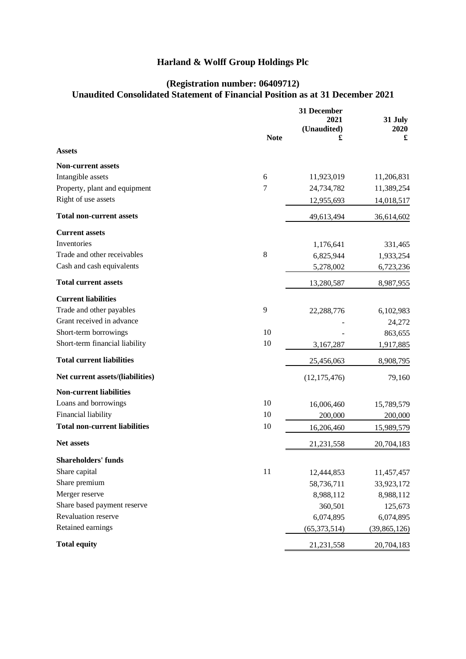# **(Registration number: 06409712) Unaudited Consolidated Statement of Financial Position as at 31 December 2021**

|                                      |             | 31 December<br>2021 |                 |  |
|--------------------------------------|-------------|---------------------|-----------------|--|
|                                      |             | (Unaudited)         | 31 July<br>2020 |  |
|                                      | <b>Note</b> | £                   | £               |  |
| <b>Assets</b>                        |             |                     |                 |  |
| <b>Non-current assets</b>            |             |                     |                 |  |
| Intangible assets                    | 6           | 11,923,019          | 11,206,831      |  |
| Property, plant and equipment        | 7           | 24,734,782          | 11,389,254      |  |
| Right of use assets                  |             | 12,955,693          | 14,018,517      |  |
| <b>Total non-current assets</b>      |             | 49,613,494          | 36,614,602      |  |
| <b>Current assets</b>                |             |                     |                 |  |
| Inventories                          |             | 1,176,641           | 331,465         |  |
| Trade and other receivables          | 8           | 6,825,944           | 1,933,254       |  |
| Cash and cash equivalents            |             | 5,278,002           | 6,723,236       |  |
| <b>Total current assets</b>          |             | 13,280,587          | 8,987,955       |  |
| <b>Current liabilities</b>           |             |                     |                 |  |
| Trade and other payables             | 9           | 22,288,776          | 6,102,983       |  |
| Grant received in advance            |             |                     | 24,272          |  |
| Short-term borrowings                | 10          |                     | 863,655         |  |
| Short-term financial liability       | 10          | 3,167,287           | 1,917,885       |  |
| <b>Total current liabilities</b>     |             | 25,456,063          | 8,908,795       |  |
| Net current assets/(liabilities)     |             | (12, 175, 476)      | 79,160          |  |
| <b>Non-current liabilities</b>       |             |                     |                 |  |
| Loans and borrowings                 | 10          | 16,006,460          | 15,789,579      |  |
| Financial liability                  | 10          | 200,000             | 200,000         |  |
| <b>Total non-current liabilities</b> | 10          | 16,206,460          | 15,989,579      |  |
| <b>Net assets</b>                    |             | 21,231,558          | 20,704,183      |  |
| <b>Shareholders' funds</b>           |             |                     |                 |  |
| Share capital                        | 11          | 12,444,853          | 11,457,457      |  |
| Share premium                        |             | 58,736,711          | 33,923,172      |  |
| Merger reserve                       |             | 8,988,112           | 8,988,112       |  |
| Share based payment reserve          |             | 360,501             | 125,673         |  |
| Revaluation reserve                  |             | 6,074,895           | 6,074,895       |  |
| Retained earnings                    |             | (65, 373, 514)      | (39, 865, 126)  |  |
| <b>Total equity</b>                  |             | 21, 231, 558        | 20,704,183      |  |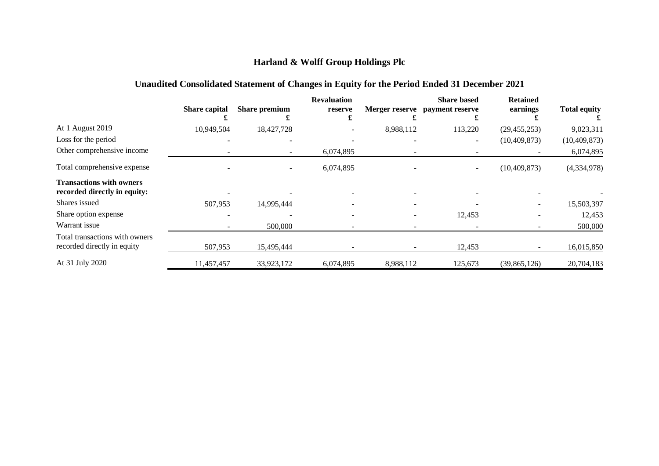# **Unaudited Consolidated Statement of Changes in Equity for the Period Ended 31 December 2021**

|                                                                 | Share capital | Share premium | <b>Revaluation</b><br>reserve |           | <b>Share based</b><br>Merger reserve payment reserve | <b>Retained</b><br>earnings | <b>Total equity</b> |
|-----------------------------------------------------------------|---------------|---------------|-------------------------------|-----------|------------------------------------------------------|-----------------------------|---------------------|
| At 1 August 2019                                                | 10,949,504    | 18,427,728    |                               | 8,988,112 | 113,220                                              | (29, 455, 253)              | 9,023,311           |
| Loss for the period                                             |               |               |                               |           | $\overline{\phantom{a}}$                             | (10, 409, 873)              | (10, 409, 873)      |
| Other comprehensive income                                      |               |               | 6,074,895                     |           |                                                      |                             | 6,074,895           |
| Total comprehensive expense                                     |               |               | 6,074,895                     |           |                                                      | (10, 409, 873)              | (4,334,978)         |
| <b>Transactions with owners</b><br>recorded directly in equity: |               |               |                               |           |                                                      |                             |                     |
| Shares issued                                                   | 507,953       | 14,995,444    |                               |           |                                                      |                             | 15,503,397          |
| Share option expense                                            |               |               |                               |           | 12,453                                               |                             | 12,453              |
| Warrant issue                                                   |               | 500,000       |                               |           |                                                      |                             | 500,000             |
| Total transactions with owners<br>recorded directly in equity   | 507,953       | 15,495,444    |                               |           | 12,453                                               |                             | 16,015,850          |
| At 31 July 2020                                                 | 11,457,457    | 33,923,172    | 6,074,895                     | 8,988,112 | 125,673                                              | (39, 865, 126)              | 20,704,183          |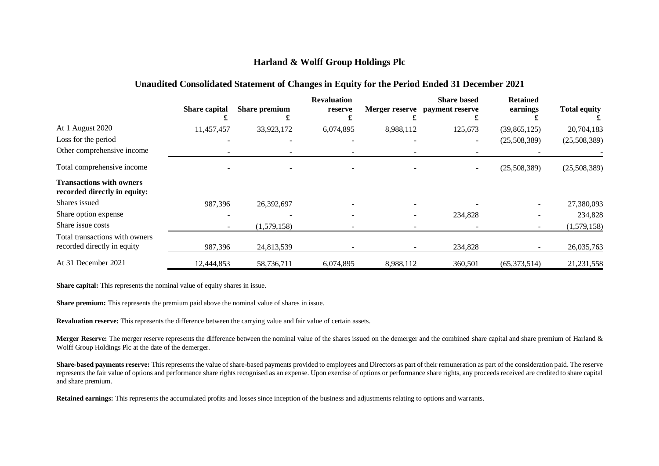### **Unaudited Consolidated Statement of Changes in Equity for the Period Ended 31 December 2021**

|                                                                 | Share capital | <b>Share premium</b> | <b>Revaluation</b><br>reserve |           | <b>Share based</b><br>Merger reserve payment reserve | <b>Retained</b><br>earnings | <b>Total equity</b> |
|-----------------------------------------------------------------|---------------|----------------------|-------------------------------|-----------|------------------------------------------------------|-----------------------------|---------------------|
| At 1 August 2020                                                | 11,457,457    | 33,923,172           | 6,074,895                     | 8,988,112 | 125,673                                              | (39,865,125)                | 20,704,183          |
| Loss for the period                                             |               |                      |                               |           | $\equiv$                                             | (25,508,389)                | (25,508,389)        |
| Other comprehensive income                                      |               |                      |                               |           |                                                      |                             |                     |
| Total comprehensive income                                      |               |                      |                               |           | -                                                    | (25,508,389)                | (25,508,389)        |
| <b>Transactions with owners</b><br>recorded directly in equity: |               |                      |                               |           |                                                      |                             |                     |
| Shares issued                                                   | 987,396       | 26,392,697           |                               |           |                                                      |                             | 27,380,093          |
| Share option expense                                            |               |                      |                               |           | 234,828                                              |                             | 234,828             |
| Share issue costs                                               |               | (1,579,158)          |                               |           |                                                      |                             | (1,579,158)         |
| Total transactions with owners<br>recorded directly in equity   | 987,396       | 24,813,539           |                               |           | 234,828                                              |                             | 26,035,763          |
| At 31 December 2021                                             | 12,444,853    | 58,736,711           | 6,074,895                     | 8,988,112 | 360,501                                              | (65,373,514)                | 21,231,558          |

**Share capital:** This represents the nominal value of equity shares in issue.

**Share premium:** This represents the premium paid above the nominal value of shares in issue.

**Revaluation reserve:** This represents the difference between the carrying value and fair value of certain assets.

**Merger Reserve:** The merger reserve represents the difference between the nominal value of the shares issued on the demerger and the combined share capital and share premium of Harland & Wolff Group Holdings Plc at the date of the demerger.

**Share-based payments reserve:** This represents the value of share-based payments provided to employees and Directors as part of their remuneration as part of the consideration paid. The reserve represents the fair value of options and performance share rights recognised as an expense. Upon exercise of options or performance share rights, any proceeds received are credited to share capital and share premium.

**Retained earnings:** This represents the accumulated profits and losses since inception of the business and adjustments relating to options and warrants.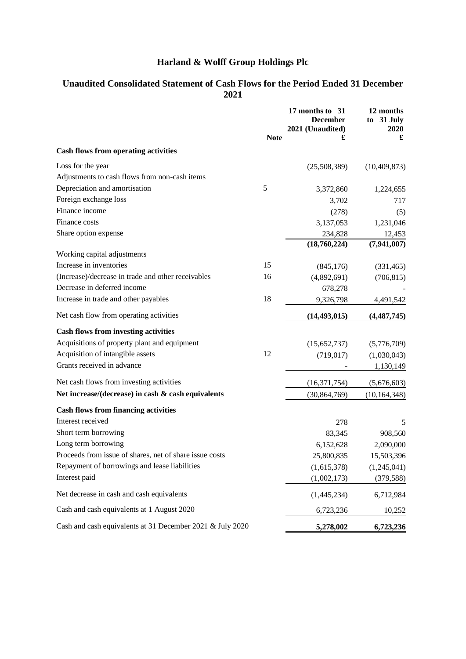# **Unaudited Consolidated Statement of Cash Flows for the Period Ended 31 December 2021**

|                                                           | <b>Note</b> | 17 months to 31<br><b>December</b><br>2021 (Unaudited)<br>£ | 12 months<br>to 31 July<br>2020<br>£ |
|-----------------------------------------------------------|-------------|-------------------------------------------------------------|--------------------------------------|
| <b>Cash flows from operating activities</b>               |             |                                                             |                                      |
| Loss for the year                                         |             | (25,508,389)                                                | (10, 409, 873)                       |
| Adjustments to cash flows from non-cash items             |             |                                                             |                                      |
| Depreciation and amortisation                             | 5           | 3,372,860                                                   | 1,224,655                            |
| Foreign exchange loss                                     |             | 3,702                                                       | 717                                  |
| Finance income                                            |             | (278)                                                       | (5)                                  |
| Finance costs                                             |             | 3,137,053                                                   | 1,231,046                            |
| Share option expense                                      |             | 234,828                                                     | 12,453                               |
|                                                           |             | (18,760,224)                                                | (7, 941, 007)                        |
| Working capital adjustments                               |             |                                                             |                                      |
| Increase in inventories                                   | 15          | (845, 176)                                                  | (331, 465)                           |
| (Increase)/decrease in trade and other receivables        | 16          | (4,892,691)                                                 | (706, 815)                           |
| Decrease in deferred income                               |             | 678,278                                                     |                                      |
| Increase in trade and other payables                      | 18          | 9,326,798                                                   | 4,491,542                            |
| Net cash flow from operating activities                   |             | (14, 493, 015)                                              | (4,487,745)                          |
| <b>Cash flows from investing activities</b>               |             |                                                             |                                      |
| Acquisitions of property plant and equipment              |             | (15,652,737)                                                | (5,776,709)                          |
| Acquisition of intangible assets                          | 12          | (719, 017)                                                  | (1,030,043)                          |
| Grants received in advance                                |             |                                                             | 1,130,149                            |
| Net cash flows from investing activities                  |             | (16, 371, 754)                                              | (5,676,603)                          |
| Net increase/(decrease) in cash & cash equivalents        |             | (30, 864, 769)                                              | (10, 164, 348)                       |
| <b>Cash flows from financing activities</b>               |             |                                                             |                                      |
| Interest received                                         |             | 278                                                         | 5                                    |
| Short term borrowing                                      |             | 83,345                                                      | 908,560                              |
| Long term borrowing                                       |             | 6,152,628                                                   | 2,090,000                            |
| Proceeds from issue of shares, net of share issue costs   |             | 25,800,835                                                  | 15,503,396                           |
| Repayment of borrowings and lease liabilities             |             | (1,615,378)                                                 | (1,245,041)                          |
| Interest paid                                             |             | (1,002,173)                                                 | (379, 588)                           |
| Net decrease in cash and cash equivalents                 |             | (1,445,234)                                                 | 6,712,984                            |
| Cash and cash equivalents at 1 August 2020                |             | 6,723,236                                                   | 10,252                               |
| Cash and cash equivalents at 31 December 2021 & July 2020 |             | 5,278,002                                                   | 6,723,236                            |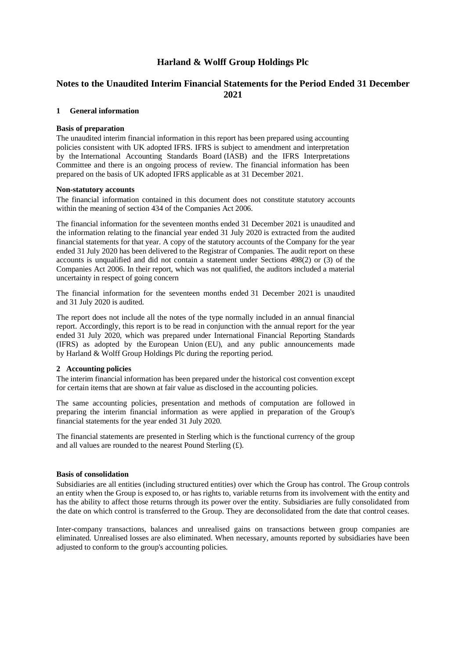# **Notes to the Unaudited Interim Financial Statements for the Period Ended 31 December 2021**

#### **1 General information**

#### **Basis of preparation**

The unaudited interim financial information in this report has been prepared using accounting policies consistent with UK adopted IFRS. IFRS is subject to amendment and interpretation by the International Accounting Standards Board (IASB) and the IFRS Interpretations Committee and there is an ongoing process of review. The financial information has been prepared on the basis of UK adopted IFRS applicable as at 31 December 2021.

#### **Non-statutory accounts**

The financial information contained in this document does not constitute statutory accounts within the meaning of section 434 of the Companies Act 2006.

The financial information for the seventeen months ended 31 December 2021 is unaudited and the information relating to the financial year ended 31 July 2020 is extracted from the audited financial statements for that year. A copy of the statutory accounts of the Company for the year ended 31 July 2020 has been delivered to the Registrar of Companies. The audit report on these accounts is unqualified and did not contain a statement under Sections 498(2) or (3) of the Companies Act 2006. In their report, which was not qualified, the auditors included a material uncertainty in respect of going concern

The financial information for the seventeen months ended 31 December 2021 is unaudited and 31 July 2020 is audited.

The report does not include all the notes of the type normally included in an annual financial report. Accordingly, this report is to be read in conjunction with the annual report for the year ended 31 July 2020, which was prepared under International Financial Reporting Standards (IFRS) as adopted by the European Union (EU), and any public announcements made by Harland & Wolff Group Holdings Plc during the reporting period.

#### **2 Accounting policies**

The interim financial information has been prepared under the historical cost convention except for certain items that are shown at fair value as disclosed in the accounting policies.

The same accounting policies, presentation and methods of computation are followed in preparing the interim financial information as were applied in preparation of the Group's financial statements for the year ended 31 July 2020.

The financial statements are presented in Sterling which is the functional currency of the group and all values are rounded to the nearest Pound Sterling (£).

#### **Basis of consolidation**

Subsidiaries are all entities (including structured entities) over which the Group has control. The Group controls an entity when the Group is exposed to, or has rights to, variable returns from its involvement with the entity and has the ability to affect those returns through its power over the entity. Subsidiaries are fully consolidated from the date on which control is transferred to the Group. They are deconsolidated from the date that control ceases.

Inter-company transactions, balances and unrealised gains on transactions between group companies are eliminated. Unrealised losses are also eliminated. When necessary, amounts reported by subsidiaries have been adjusted to conform to the group's accounting policies.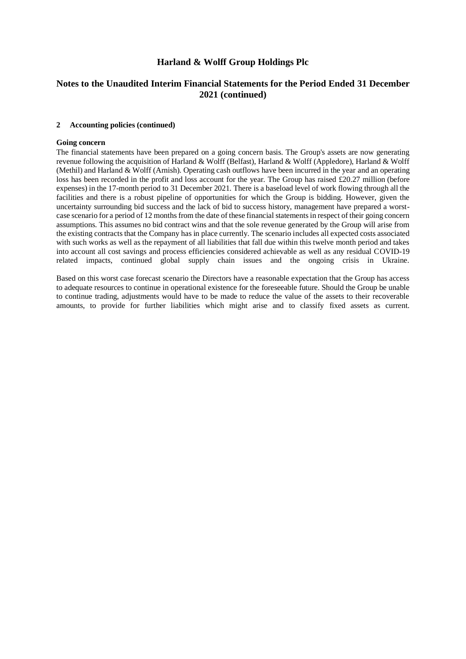# **Notes to the Unaudited Interim Financial Statements for the Period Ended 31 December 2021 (continued)**

#### **2 Accounting policies (continued)**

#### **Going concern**

The financial statements have been prepared on a going concern basis. The Group's assets are now generating revenue following the acquisition of Harland & Wolff (Belfast), Harland & Wolff (Appledore), Harland & Wolff (Methil) and Harland & Wolff (Arnish). Operating cash outflows have been incurred in the year and an operating loss has been recorded in the profit and loss account for the year. The Group has raised £20.27 million (before expenses) in the 17-month period to 31 December 2021. There is a baseload level of work flowing through all the facilities and there is a robust pipeline of opportunities for which the Group is bidding. However, given the uncertainty surrounding bid success and the lack of bid to success history, management have prepared a worstcase scenario for a period of 12 months from the date of these financial statements in respect of their going concern assumptions. This assumes no bid contract wins and that the sole revenue generated by the Group will arise from the existing contracts that the Company has in place currently. The scenario includes all expected costs associated with such works as well as the repayment of all liabilities that fall due within this twelve month period and takes into account all cost savings and process efficiencies considered achievable as well as any residual COVID-19 related impacts, continued global supply chain issues and the ongoing crisis in Ukraine.

Based on this worst case forecast scenario the Directors have a reasonable expectation that the Group has access to adequate resources to continue in operational existence for the foreseeable future. Should the Group be unable to continue trading, adjustments would have to be made to reduce the value of the assets to their recoverable amounts, to provide for further liabilities which might arise and to classify fixed assets as current.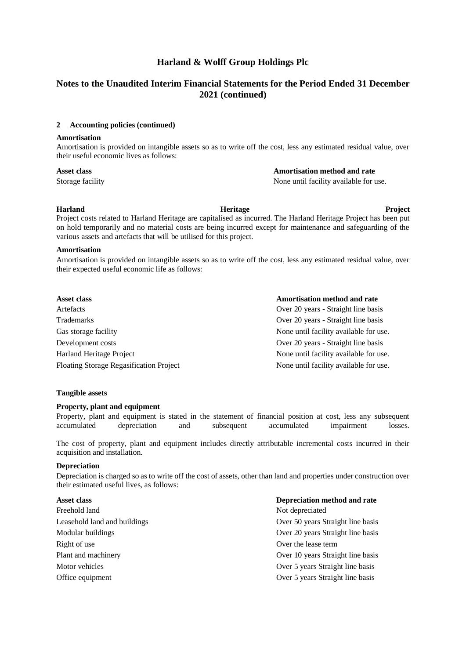# **Notes to the Unaudited Interim Financial Statements for the Period Ended 31 December 2021 (continued)**

#### **2 Accounting policies (continued)**

#### **Amortisation**

Amortisation is provided on intangible assets so as to write off the cost, less any estimated residual value, over their useful economic lives as follows:

#### **Asset class Amortisation method and rate**

Storage facility  $\blacksquare$  None until facility available for use.

#### **Harland Heritage Project**

Project costs related to Harland Heritage are capitalised as incurred. The Harland Heritage Project has been put on hold temporarily and no material costs are being incurred except for maintenance and safeguarding of the various assets and artefacts that will be utilised for this project.

#### **Amortisation**

Amortisation is provided on intangible assets so as to write off the cost, less any estimated residual value, over their expected useful economic life as follows:

| Asset class                                    | <b>Amortisation method and rate</b>    |
|------------------------------------------------|----------------------------------------|
| Artefacts                                      | Over 20 years - Straight line basis    |
| <b>Trademarks</b>                              | Over 20 years - Straight line basis    |
| Gas storage facility                           | None until facility available for use. |
| Development costs                              | Over 20 years - Straight line basis    |
| Harland Heritage Project                       | None until facility available for use. |
| <b>Floating Storage Regasification Project</b> | None until facility available for use. |

#### **Tangible assets**

#### **Property, plant and equipment**

Property, plant and equipment is stated in the statement of financial position at cost, less any subsequent accumulated depreciation and subsequent accumulated impairment losses.

The cost of property, plant and equipment includes directly attributable incremental costs incurred in their acquisition and installation.

#### **Depreciation**

Depreciation is charged so as to write off the cost of assets, other than land and properties under construction over their estimated useful lives, as follows:

| <b>Asset class</b> |  |
|--------------------|--|
|                    |  |

Freehold land Not depreciated Right of use Over the lease term

**Asset class Depreciation method and rate** Leasehold land and buildings Over 50 years Straight line basis Modular buildings Over 20 years Straight line basis Plant and machinery Over 10 years Straight line basis Motor vehicles **Over 5** years Straight line basis Office equipment Over 5 years Straight line basis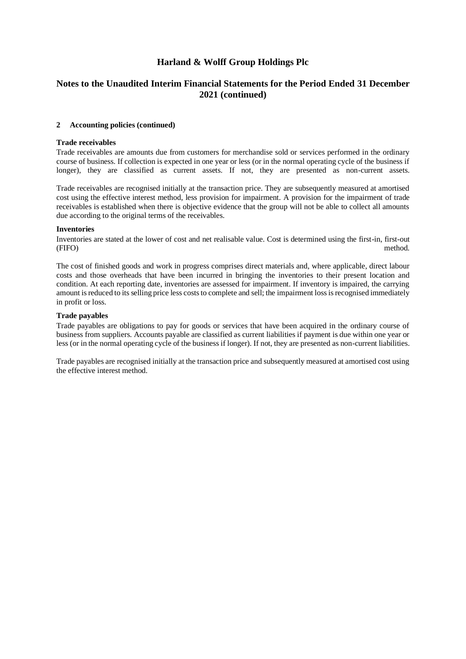# **Notes to the Unaudited Interim Financial Statements for the Period Ended 31 December 2021 (continued)**

#### **2 Accounting policies (continued)**

#### **Trade receivables**

Trade receivables are amounts due from customers for merchandise sold or services performed in the ordinary course of business. If collection is expected in one year or less (or in the normal operating cycle of the business if longer), they are classified as current assets. If not, they are presented as non-current assets.

Trade receivables are recognised initially at the transaction price. They are subsequently measured at amortised cost using the effective interest method, less provision for impairment. A provision for the impairment of trade receivables is established when there is objective evidence that the group will not be able to collect all amounts due according to the original terms of the receivables.

#### **Inventories**

Inventories are stated at the lower of cost and net realisable value. Cost is determined using the first-in, first-out (FIFO) method.

The cost of finished goods and work in progress comprises direct materials and, where applicable, direct labour costs and those overheads that have been incurred in bringing the inventories to their present location and condition. At each reporting date, inventories are assessed for impairment. If inventory is impaired, the carrying amount is reduced to its selling price less costs to complete and sell; the impairment loss is recognised immediately in profit or loss.

#### **Trade payables**

Trade payables are obligations to pay for goods or services that have been acquired in the ordinary course of business from suppliers. Accounts payable are classified as current liabilities if payment is due within one year or less (or in the normal operating cycle of the business if longer). If not, they are presented as non-current liabilities.

Trade payables are recognised initially at the transaction price and subsequently measured at amortised cost using the effective interest method.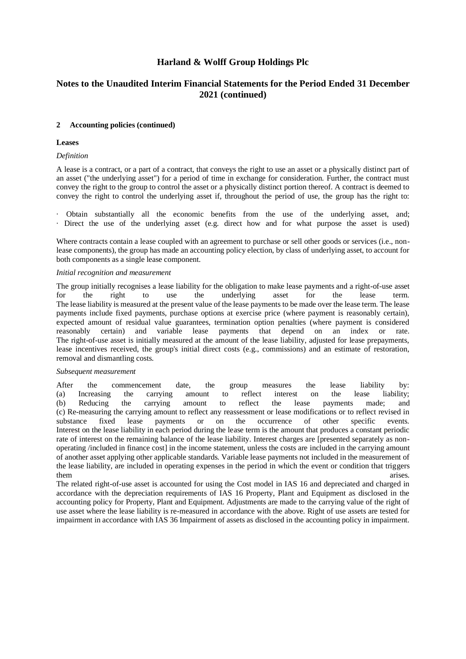# **Notes to the Unaudited Interim Financial Statements for the Period Ended 31 December 2021 (continued)**

#### **2 Accounting policies (continued)**

#### **Leases**

#### *Definition*

A lease is a contract, or a part of a contract, that conveys the right to use an asset or a physically distinct part of an asset ("the underlying asset") for a period of time in exchange for consideration. Further, the contract must convey the right to the group to control the asset or a physically distinct portion thereof. A contract is deemed to convey the right to control the underlying asset if, throughout the period of use, the group has the right to:

· Obtain substantially all the economic benefits from the use of the underlying asset, and; · Direct the use of the underlying asset (e.g. direct how and for what purpose the asset is used)

Where contracts contain a lease coupled with an agreement to purchase or sell other goods or services (i.e., nonlease components), the group has made an accounting policy election, by class of underlying asset, to account for both components as a single lease component.

#### *Initial recognition and measurement*

The group initially recognises a lease liability for the obligation to make lease payments and a right-of-use asset for the right to use the underlying asset for the lease term. The lease liability is measured at the present value of the lease payments to be made over the lease term. The lease payments include fixed payments, purchase options at exercise price (where payment is reasonably certain), expected amount of residual value guarantees, termination option penalties (where payment is considered reasonably certain) and variable lease payments that depend on an index or rate. The right-of-use asset is initially measured at the amount of the lease liability, adjusted for lease prepayments, lease incentives received, the group's initial direct costs (e.g., commissions) and an estimate of restoration, removal and dismantling costs.

#### *Subsequent measurement*

After the commencement date, the group measures the lease liability by: (a) Increasing the carrying amount to reflect interest on the lease liability; (b) Reducing the carrying amount to reflect the lease payments made; and (c) Re-measuring the carrying amount to reflect any reassessment or lease modifications or to reflect revised in substance fixed lease payments or on the occurrence of other specific events. Interest on the lease liability in each period during the lease term is the amount that produces a constant periodic rate of interest on the remaining balance of the lease liability. Interest charges are [presented separately as nonoperating /included in finance cost] in the income statement, unless the costs are included in the carrying amount of another asset applying other applicable standards. Variable lease payments not included in the measurement of the lease liability, are included in operating expenses in the period in which the event or condition that triggers them arises. The contract of the contract of the contract of the contract of the contract of the contract of the contract of the contract of the contract of the contract of the contract of the contract of the contract of t

The related right-of-use asset is accounted for using the Cost model in IAS 16 and depreciated and charged in accordance with the depreciation requirements of IAS 16 Property, Plant and Equipment as disclosed in the accounting policy for Property, Plant and Equipment. Adjustments are made to the carrying value of the right of use asset where the lease liability is re-measured in accordance with the above. Right of use assets are tested for impairment in accordance with IAS 36 Impairment of assets as disclosed in the accounting policy in impairment.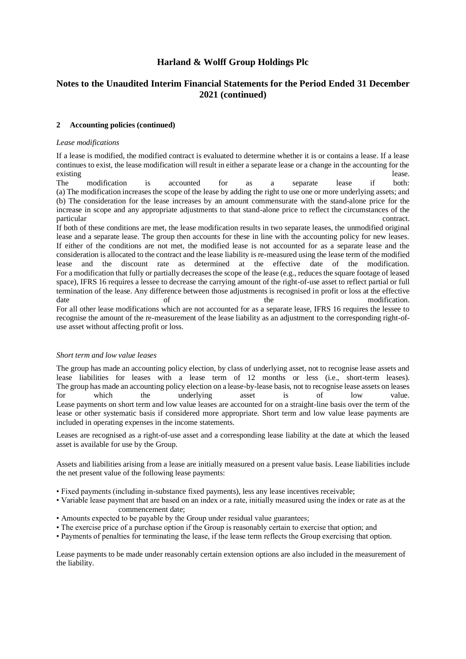# **Notes to the Unaudited Interim Financial Statements for the Period Ended 31 December 2021 (continued)**

#### **2 Accounting policies (continued)**

#### *Lease modifications*

If a lease is modified, the modified contract is evaluated to determine whether it is or contains a lease. If a lease continues to exist, the lease modification will result in either a separate lease or a change in the accounting for the existing lease.

The modification is accounted for as a separate lease if both: (a) The modification increases the scope of the lease by adding the right to use one or more underlying assets; and (b) The consideration for the lease increases by an amount commensurate with the stand-alone price for the increase in scope and any appropriate adjustments to that stand-alone price to reflect the circumstances of the particular contract.

If both of these conditions are met, the lease modification results in two separate leases, the unmodified original lease and a separate lease. The group then accounts for these in line with the accounting policy for new leases. If either of the conditions are not met, the modified lease is not accounted for as a separate lease and the consideration is allocated to the contract and the lease liability is re-measured using the lease term of the modified lease and the discount rate as determined at the effective date of the modification. For a modification that fully or partially decreases the scope of the lease (e.g., reduces the square footage of leased space), IFRS 16 requires a lessee to decrease the carrying amount of the right-of-use asset to reflect partial or full termination of the lease. Any difference between those adjustments is recognised in profit or loss at the effective date of of the modification. For all other lease modifications which are not accounted for as a separate lease, IFRS 16 requires the lessee to recognise the amount of the re-measurement of the lease liability as an adjustment to the corresponding right-ofuse asset without affecting profit or loss.

#### *Short term and low value leases*

The group has made an accounting policy election, by class of underlying asset, not to recognise lease assets and lease liabilities for leases with a lease term of 12 months or less (i.e., short-term leases). The group has made an accounting policy election on a lease-by-lease basis, not to recognise lease assets on leases for which the underlying asset is of low value. Lease payments on short term and low value leases are accounted for on a straight-line basis over the term of the lease or other systematic basis if considered more appropriate. Short term and low value lease payments are included in operating expenses in the income statements.

Leases are recognised as a right-of-use asset and a corresponding lease liability at the date at which the leased asset is available for use by the Group.

Assets and liabilities arising from a lease are initially measured on a present value basis. Lease liabilities include the net present value of the following lease payments:

- Fixed payments (including in-substance fixed payments), less any lease incentives receivable;
- Variable lease payment that are based on an index or a rate, initially measured using the index or rate as at the commencement date;
- Amounts expected to be payable by the Group under residual value guarantees;
- The exercise price of a purchase option if the Group is reasonably certain to exercise that option; and
- Payments of penalties for terminating the lease, if the lease term reflects the Group exercising that option.

Lease payments to be made under reasonably certain extension options are also included in the measurement of the liability.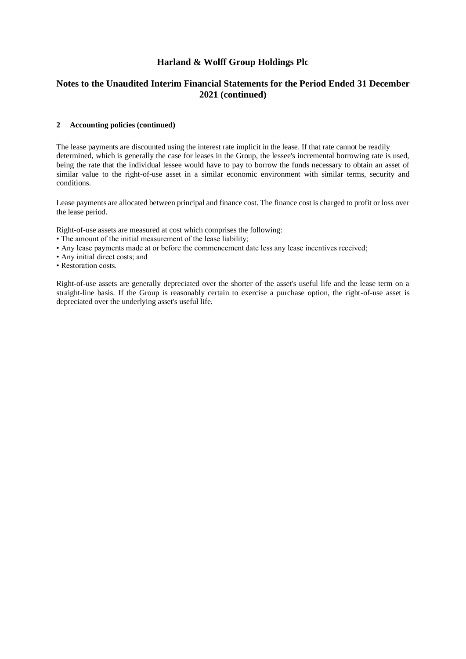# **Notes to the Unaudited Interim Financial Statements for the Period Ended 31 December 2021 (continued)**

#### **2 Accounting policies (continued)**

The lease payments are discounted using the interest rate implicit in the lease. If that rate cannot be readily determined, which is generally the case for leases in the Group, the lessee's incremental borrowing rate is used, being the rate that the individual lessee would have to pay to borrow the funds necessary to obtain an asset of similar value to the right-of-use asset in a similar economic environment with similar terms, security and conditions.

Lease payments are allocated between principal and finance cost. The finance cost is charged to profit or loss over the lease period.

Right-of-use assets are measured at cost which comprises the following:

- The amount of the initial measurement of the lease liability;
- Any lease payments made at or before the commencement date less any lease incentives received;
- Any initial direct costs; and
- Restoration costs.

Right-of-use assets are generally depreciated over the shorter of the asset's useful life and the lease term on a straight-line basis. If the Group is reasonably certain to exercise a purchase option, the right-of-use asset is depreciated over the underlying asset's useful life.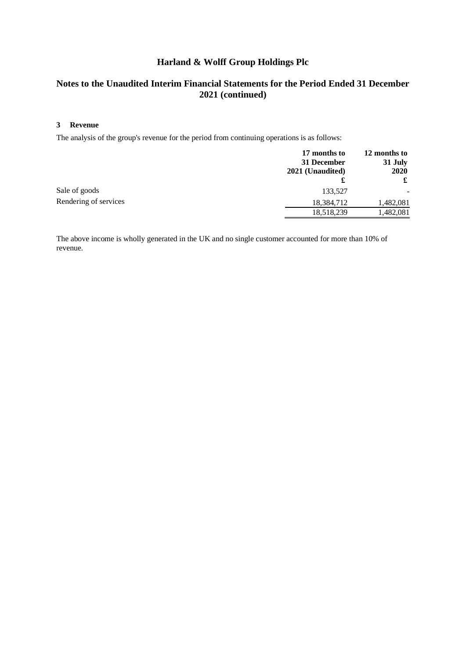# **Notes to the Unaudited Interim Financial Statements for the Period Ended 31 December 2021 (continued)**

#### **3 Revenue**

The analysis of the group's revenue for the period from continuing operations is as follows:

|                       | 17 months to<br>31 December<br>2021 (Unaudited) | 12 months to<br>31 July<br>2020<br>£ |
|-----------------------|-------------------------------------------------|--------------------------------------|
| Sale of goods         | 133,527                                         |                                      |
| Rendering of services | 18,384,712                                      | 1,482,081                            |
|                       | 18,518,239                                      | 1,482,081                            |

The above income is wholly generated in the UK and no single customer accounted for more than 10% of revenue.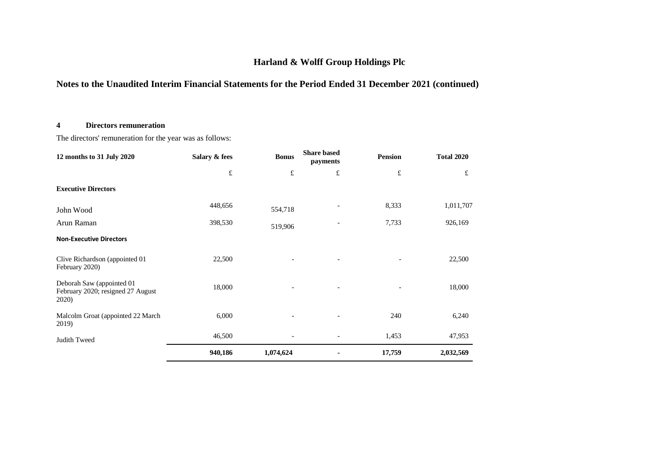# **Notes to the Unaudited Interim Financial Statements for the Period Ended 31 December 2021 (continued)**

### **4 Directors remuneration**

The directors' remuneration for the year was as follows:

| 12 months to 31 July 2020                                               | Salary & fees | <b>Bonus</b> | <b>Share based</b><br>payments | <b>Pension</b> | <b>Total 2020</b> |
|-------------------------------------------------------------------------|---------------|--------------|--------------------------------|----------------|-------------------|
|                                                                         | $\pounds$     | $\pounds$    | $\pounds$                      | $\pounds$      | £                 |
| <b>Executive Directors</b>                                              |               |              |                                |                |                   |
| John Wood                                                               | 448,656       | 554,718      |                                | 8,333          | 1,011,707         |
| Arun Raman                                                              | 398,530       | 519,906      |                                | 7,733          | 926,169           |
| <b>Non-Executive Directors</b>                                          |               |              |                                |                |                   |
| Clive Richardson (appointed 01<br>February 2020)                        | 22,500        |              | $\overline{\phantom{a}}$       |                | 22,500            |
| Deborah Saw (appointed 01<br>February 2020; resigned 27 August<br>2020) | 18,000        |              | $\overline{\phantom{a}}$       |                | 18,000            |
| Malcolm Groat (appointed 22 March<br>2019)                              | 6,000         |              |                                | 240            | 6,240             |
| Judith Tweed                                                            | 46,500        |              |                                | 1,453          | 47,953            |
|                                                                         | 940,186       | 1,074,624    |                                | 17,759         | 2,032,569         |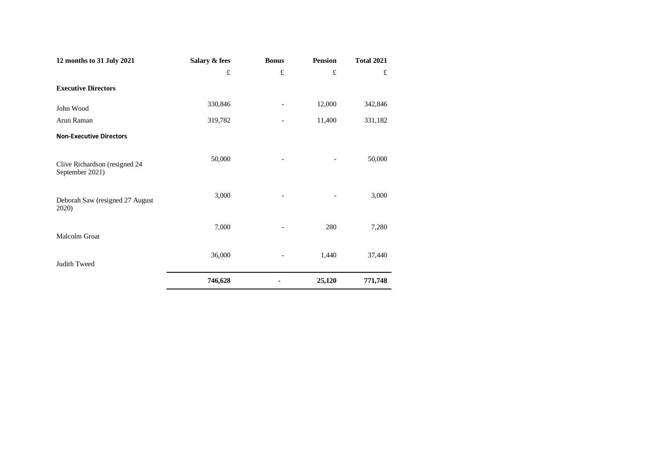| 12 months to 31 July 2021                        | Salary & fees | <b>Bonus</b> | <b>Pension</b> | <b>Total 2021</b> |
|--------------------------------------------------|---------------|--------------|----------------|-------------------|
|                                                  | $\pounds$     | £            | £              | £                 |
| <b>Executive Directors</b>                       |               |              |                |                   |
| John Wood                                        | 330,846       |              | 12,000         | 342,846           |
| Arun Raman                                       | 319,782       |              | 11,400         | 331,182           |
| <b>Non-Executive Directors</b>                   |               |              |                |                   |
| Clive Richardson (resigned 24<br>September 2021) | 50,000        |              |                | 50,000            |
| Deborah Saw (resigned 27 August<br>2020)         | 3,000         |              |                | 3,000             |
| Malcolm Groat                                    | 7,000         |              | 280            | 7,280             |
| Judith Tweed                                     | 36,000        |              | 1,440          | 37,440            |
|                                                  | 746,628       |              | 25,120         | 771,748           |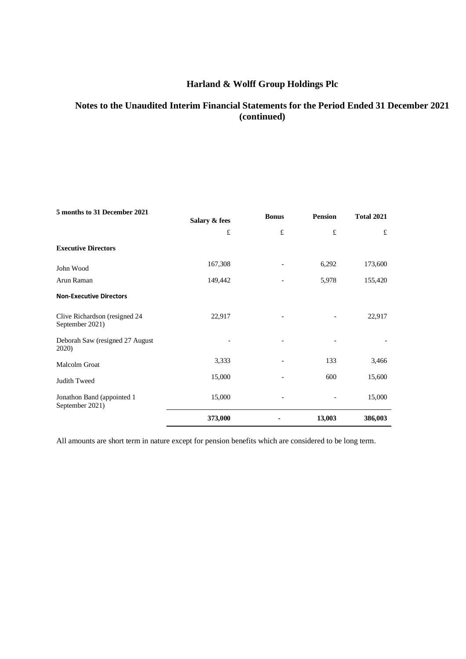# **Notes to the Unaudited Interim Financial Statements for the Period Ended 31 December 2021 (continued)**

| 5 months to 31 December 2021<br>Salary & fees    |         | <b>Bonus</b> | <b>Pension</b> | <b>Total 2021</b> |  |
|--------------------------------------------------|---------|--------------|----------------|-------------------|--|
|                                                  | £       | $\pounds$    | £              | £                 |  |
| <b>Executive Directors</b>                       |         |              |                |                   |  |
| John Wood                                        | 167,308 |              | 6,292          | 173,600           |  |
| Arun Raman                                       | 149,442 |              | 5,978          | 155,420           |  |
| <b>Non-Executive Directors</b>                   |         |              |                |                   |  |
| Clive Richardson (resigned 24<br>September 2021) | 22,917  |              |                | 22,917            |  |
| Deborah Saw (resigned 27 August<br>2020)         |         |              |                |                   |  |
| Malcolm Groat                                    | 3,333   |              | 133            | 3,466             |  |
| Judith Tweed                                     | 15,000  |              | 600            | 15,600            |  |
| Jonathon Band (appointed 1<br>September 2021)    | 15,000  |              |                | 15,000            |  |
|                                                  | 373,000 |              | 13,003         | 386,003           |  |

All amounts are short term in nature except for pension benefits which are considered to be long term.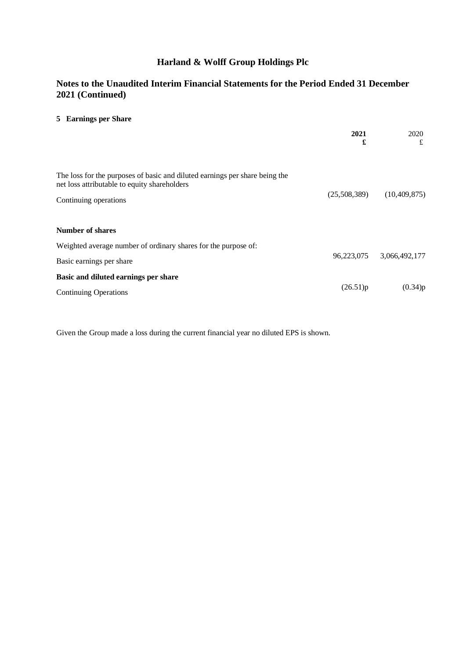# **Notes to the Unaudited Interim Financial Statements for the Period Ended 31 December 2021 (Continued)**

### **5 Earnings per Share**

|                                                                                                                                                      | 2021<br>£    | 2020<br>£                |
|------------------------------------------------------------------------------------------------------------------------------------------------------|--------------|--------------------------|
| The loss for the purposes of basic and diluted earnings per share being the<br>net loss attributable to equity shareholders<br>Continuing operations | (25,508,389) | (10, 409, 875)           |
| <b>Number of shares</b>                                                                                                                              |              |                          |
| Weighted average number of ordinary shares for the purpose of:<br>Basic earnings per share                                                           |              | 96,223,075 3,066,492,177 |
| Basic and diluted earnings per share<br><b>Continuing Operations</b>                                                                                 | (26.51)p     | (0.34)p                  |

Given the Group made a loss during the current financial year no diluted EPS is shown.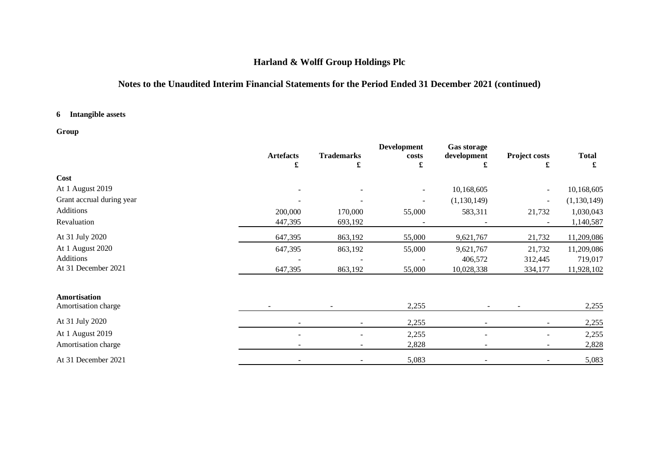# **Notes to the Unaudited Interim Financial Statements for the Period Ended 31 December 2021 (continued)**

### **6 Intangible assets**

# **Group**

|                           |                  |                   | <b>Development</b>       | <b>Gas storage</b> |                |               |
|---------------------------|------------------|-------------------|--------------------------|--------------------|----------------|---------------|
|                           | <b>Artefacts</b> | <b>Trademarks</b> | costs                    | development        | Project costs  | <b>Total</b>  |
|                           | £                | £                 | £                        | £                  | £              | £             |
| Cost                      |                  |                   |                          |                    |                |               |
| At 1 August 2019          |                  |                   | $\overline{\phantom{a}}$ | 10,168,605         | ٠              | 10,168,605    |
| Grant accrual during year |                  |                   |                          | (1,130,149)        | $\blacksquare$ | (1, 130, 149) |
| Additions                 | 200,000          | 170,000           | 55,000                   | 583,311            | 21,732         | 1,030,043     |
| Revaluation               | 447,395          | 693,192           |                          |                    | ۰              | 1,140,587     |
| At 31 July 2020           | 647,395          | 863,192           | 55,000                   | 9,621,767          | 21,732         | 11,209,086    |
| At 1 August 2020          | 647,395          | 863,192           | 55,000                   | 9,621,767          | 21,732         | 11,209,086    |
| Additions                 |                  |                   |                          | 406,572            | 312,445        | 719,017       |
| At 31 December 2021       | 647,395          | 863,192           | 55,000                   | 10,028,338         | 334,177        | 11,928,102    |
| Amortisation              |                  |                   |                          |                    |                |               |
| Amortisation charge       |                  |                   | 2,255                    |                    |                | 2,255         |
| At 31 July 2020           |                  |                   | 2,255                    |                    |                | 2,255         |
| At 1 August 2019          |                  |                   | 2,255                    |                    |                | 2,255         |
| Amortisation charge       |                  |                   | 2,828                    |                    | -              | 2,828         |
| At 31 December 2021       |                  |                   | 5,083                    |                    | ٠              | 5,083         |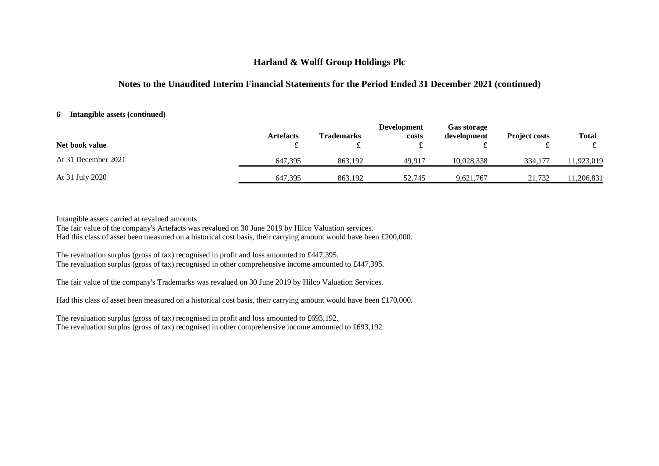## **Notes to the Unaudited Interim Financial Statements for the Period Ended 31 December 2021 (continued)**

#### **6 Intangible assets (continued)**

| Net book value      | <b>Artefacts</b> | <b>Trademarks</b> | <b>Development</b><br>costs | <b>Gas storage</b><br>development | <b>Project costs</b> | <b>Total</b> |
|---------------------|------------------|-------------------|-----------------------------|-----------------------------------|----------------------|--------------|
| At 31 December 2021 | 647.395          | 863.192           | 49.917                      | 10.028.338                        | 334,177              | 1,923,019    |
| At 31 July 2020     | 647,395          | 863,192           | 52.745                      | 9,621,767                         | 21,732               | 1,206,831    |

Intangible assets carried at revalued amounts

The fair value of the company's Artefacts was revalued on 30 June 2019 by Hilco Valuation services. Had this class of asset been measured on a historical cost basis, their carrying amount would have been £200,000.

The revaluation surplus (gross of tax) recognised in profit and loss amounted to £447,395. The revaluation surplus (gross of tax) recognised in other comprehensive income amounted to £447,395.

The fair value of the company's Trademarks was revalued on 30 June 2019 by Hilco Valuation Services.

Had this class of asset been measured on a historical cost basis, their carrying amount would have been £170,000.

The revaluation surplus (gross of tax) recognised in profit and loss amounted to £693,192. The revaluation surplus (gross of tax) recognised in other comprehensive income amounted to £693,192.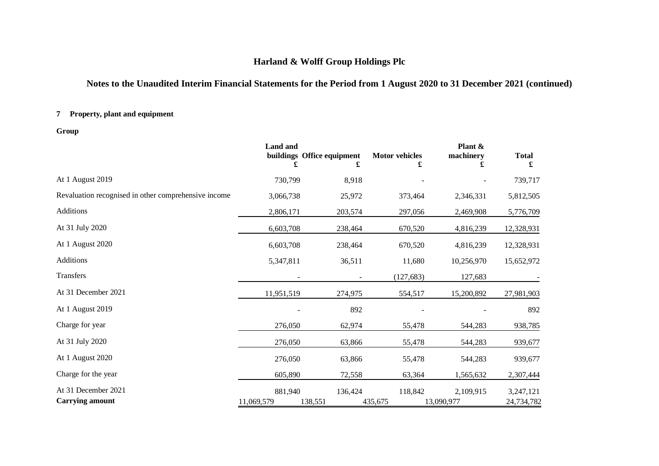# **Notes to the Unaudited Interim Financial Statements for the Period from 1 August 2020 to 31 December 2021 (continued)**

# **7 Property, plant and equipment**

**Group**

|                                                      | <b>Land</b> and<br>£  | buildings Office equipment<br>£ | <b>Motor vehicles</b><br>£ | Plant $\&$<br>machinery<br>£ | <b>Total</b><br>£       |
|------------------------------------------------------|-----------------------|---------------------------------|----------------------------|------------------------------|-------------------------|
| At 1 August 2019                                     | 730,799               | 8,918                           |                            |                              | 739,717                 |
| Revaluation recognised in other comprehensive income | 3,066,738             | 25,972                          | 373,464                    | 2,346,331                    | 5,812,505               |
| Additions                                            | 2,806,171             | 203,574                         | 297,056                    | 2,469,908                    | 5,776,709               |
| At 31 July 2020                                      | 6,603,708             | 238,464                         | 670,520                    | 4,816,239                    | 12,328,931              |
| At 1 August 2020                                     | 6,603,708             | 238,464                         | 670,520                    | 4,816,239                    | 12,328,931              |
| Additions                                            | 5,347,811             | 36,511                          | 11,680                     | 10,256,970                   | 15,652,972              |
| Transfers                                            |                       |                                 | (127, 683)                 | 127,683                      |                         |
| At 31 December 2021                                  | 11,951,519            | 274,975                         | 554,517                    | 15,200,892                   | 27,981,903              |
| At 1 August 2019                                     |                       | 892                             |                            |                              | 892                     |
| Charge for year                                      | 276,050               | 62,974                          | 55,478                     | 544,283                      | 938,785                 |
| At 31 July 2020                                      | 276,050               | 63,866                          | 55,478                     | 544,283                      | 939,677                 |
| At 1 August 2020                                     | 276,050               | 63,866                          | 55,478                     | 544,283                      | 939,677                 |
| Charge for the year                                  | 605,890               | 72,558                          | 63,364                     | 1,565,632                    | 2,307,444               |
| At 31 December 2021<br><b>Carrying amount</b>        | 881,940<br>11,069,579 | 136,424<br>138,551              | 118,842<br>435,675         | 2,109,915<br>13,090,977      | 3,247,121<br>24,734,782 |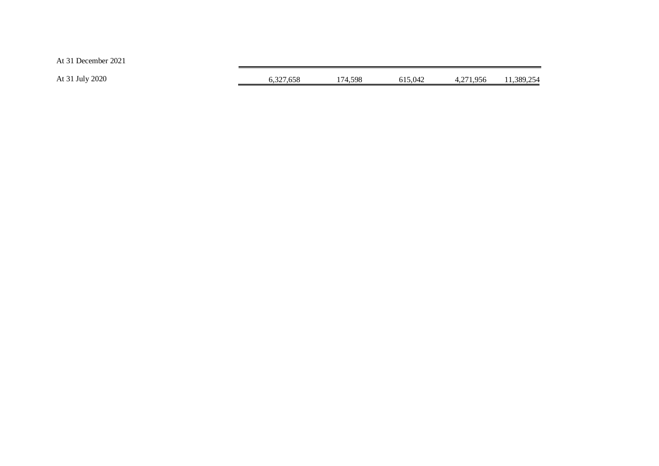At 31 December 2021

| At 31 July 2020 | 6.327.658 | 174.598 | 615.042 | 4,271,956 | 11,389,254 |
|-----------------|-----------|---------|---------|-----------|------------|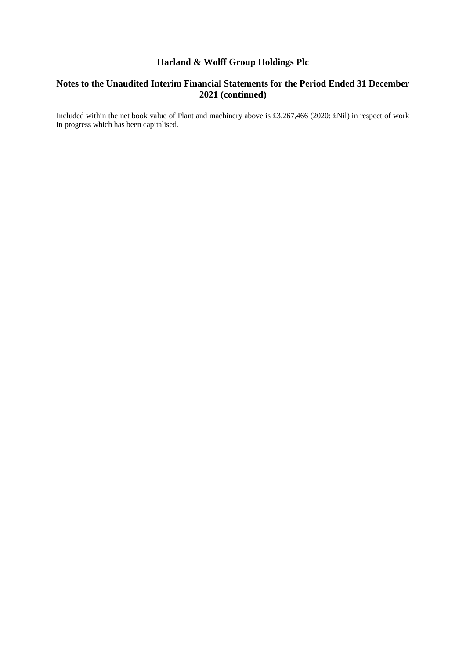# **Notes to the Unaudited Interim Financial Statements for the Period Ended 31 December 2021 (continued)**

Included within the net book value of Plant and machinery above is £3,267,466 (2020: £Nil) in respect of work in progress which has been capitalised.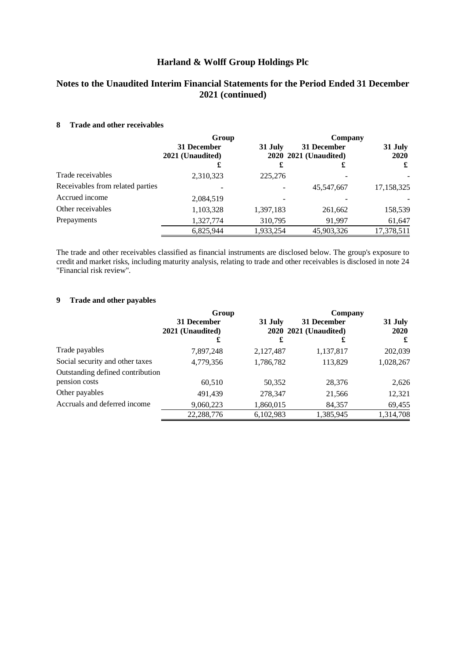# **Notes to the Unaudited Interim Financial Statements for the Period Ended 31 December 2021 (continued)**

#### **8 Trade and other receivables**

|                                  | Group                           |                                                 | Company    |                 |  |
|----------------------------------|---------------------------------|-------------------------------------------------|------------|-----------------|--|
|                                  | 31 December<br>2021 (Unaudited) | 31 December<br>31 July<br>2020 2021 (Unaudited) |            | 31 July<br>2020 |  |
|                                  | £                               | £                                               | £          | £               |  |
| Trade receivables                | 2,310,323                       | 225,276                                         |            |                 |  |
| Receivables from related parties |                                 |                                                 | 45,547,667 | 17,158,325      |  |
| Accrued income                   | 2,084,519                       |                                                 |            |                 |  |
| Other receivables                | 1,103,328                       | 1,397,183                                       | 261,662    | 158,539         |  |
| Prepayments                      | 1,327,774                       | 310,795                                         | 91.997     | 61,647          |  |
|                                  | 6,825,944                       | 1,933,254                                       | 45,903,326 | 17,378,511      |  |

The trade and other receivables classified as financial instruments are disclosed below. The group's exposure to credit and market risks, including maturity analysis, relating to trade and other receivables is disclosed in note 24 "Financial risk review".

### **9 Trade and other payables**

|                                  | Group            |           | Company               |           |
|----------------------------------|------------------|-----------|-----------------------|-----------|
|                                  | 31 December      | 31 July   | 31 December           | 31 July   |
|                                  | 2021 (Unaudited) |           | 2020 2021 (Unaudited) | 2020      |
|                                  | £                | £         | £                     | £         |
| Trade payables                   | 7,897,248        | 2,127,487 | 1,137,817             | 202,039   |
| Social security and other taxes  | 4,779,356        | 1,786,782 | 113,829               | 1,028,267 |
| Outstanding defined contribution |                  |           |                       |           |
| pension costs                    | 60,510           | 50,352    | 28,376                | 2,626     |
| Other payables                   | 491,439          | 278,347   | 21,566                | 12,321    |
| Accruals and deferred income     | 9,060,223        | 1,860,015 | 84,357                | 69,455    |
|                                  | 22,288,776       | 6,102,983 | 1,385,945             | 1,314,708 |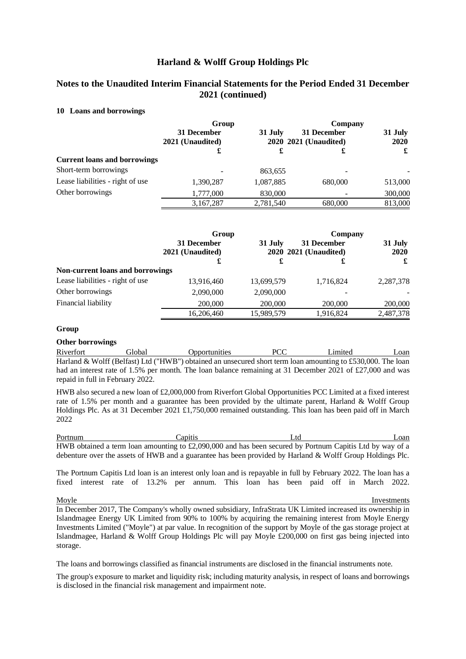# **Notes to the Unaudited Interim Financial Statements for the Period Ended 31 December 2021 (continued)**

#### **10 Loans and borrowings**

|                                     | Group                           |           | Company                              |                 |
|-------------------------------------|---------------------------------|-----------|--------------------------------------|-----------------|
|                                     | 31 December<br>2021 (Unaudited) | 31 July   | 31 December<br>2020 2021 (Unaudited) | 31 July<br>2020 |
|                                     | £                               | £         | £                                    | £               |
| <b>Current loans and borrowings</b> |                                 |           |                                      |                 |
| Short-term borrowings               |                                 | 863,655   |                                      |                 |
| Lease liabilities - right of use    | 1,390,287                       | 1,087,885 | 680,000                              | 513,000         |
| Other borrowings                    | 1,777,000                       | 830,000   |                                      | 300,000         |
|                                     | 3,167,287                       | 2,781,540 | 680,000                              | 813,000         |

|                                         | Group                           |            | Company                              |                 |
|-----------------------------------------|---------------------------------|------------|--------------------------------------|-----------------|
|                                         | 31 December<br>2021 (Unaudited) | 31 July    | 31 December<br>2020 2021 (Unaudited) | 31 July<br>2020 |
|                                         | £                               | £          | £                                    | £               |
| <b>Non-current loans and borrowings</b> |                                 |            |                                      |                 |
| Lease liabilities - right of use        | 13,916,460                      | 13,699,579 | 1,716,824                            | 2,287,378       |
| Other borrowings                        | 2,090,000                       | 2,090,000  |                                      |                 |
| Financial liability                     | 200,000                         | 200,000    | 200,000                              | 200,000         |
|                                         | 16,206,460                      | 15,989,579 | 1,916,824                            | 2,487,378       |

#### **Group**

#### **Other borrowings**

Riverfort Global Opportunities PCC Limited Loan Harland & Wolff (Belfast) Ltd ("HWB") obtained an unsecured short term loan amounting to £530,000. The loan had an interest rate of 1.5% per month. The loan balance remaining at 31 December 2021 of £27,000 and was repaid in full in February 2022.

HWB also secured a new loan of £2,000,000 from Riverfort Global Opportunities PCC Limited at a fixed interest rate of 1.5% per month and a guarantee has been provided by the ultimate parent, Harland & Wolff Group Holdings Plc. As at 31 December 2021 £1,750,000 remained outstanding. This loan has been paid off in March 2022

Portnum Capitis Capitis Ltd Loan HWB obtained a term loan amounting to £2,090,000 and has been secured by Portnum Capitis Ltd by way of a debenture over the assets of HWB and a guarantee has been provided by Harland & Wolff Group Holdings Plc.

The Portnum Capitis Ltd loan is an interest only loan and is repayable in full by February 2022. The loan has a fixed interest rate of 13.2% per annum. This loan has been paid off in March 2022.

Moyle **Investments** In December 2017, The Company's wholly owned subsidiary, InfraStrata UK Limited increased its ownership in Islandmagee Energy UK Limited from 90% to 100% by acquiring the remaining interest from Moyle Energy Investments Limited ("Moyle") at par value. In recognition of the support by Moyle of the gas storage project at Islandmagee, Harland & Wolff Group Holdings Plc will pay Moyle £200,000 on first gas being injected into storage.

The loans and borrowings classified as financial instruments are disclosed in the financial instruments note.

The group's exposure to market and liquidity risk; including maturity analysis, in respect of loans and borrowings is disclosed in the financial risk management and impairment note.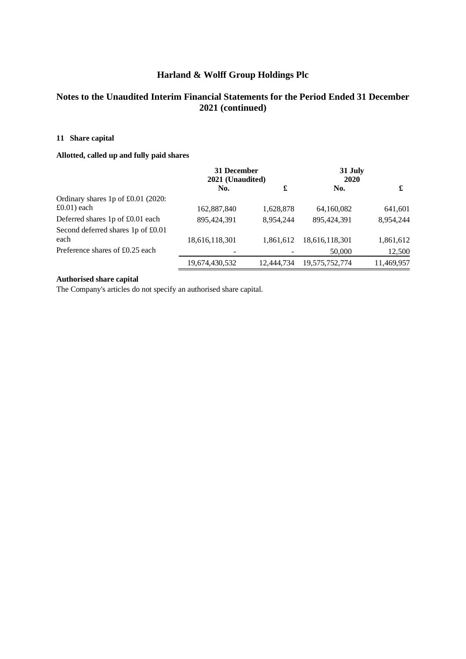# **Notes to the Unaudited Interim Financial Statements for the Period Ended 31 December 2021 (continued)**

### **11 Share capital**

### **Allotted, called up and fully paid shares**

|                                      | 31 December<br>2021 (Unaudited) |            | 31 July<br>2020 |            |
|--------------------------------------|---------------------------------|------------|-----------------|------------|
|                                      | No.                             | £          | No.             | £          |
| Ordinary shares 1p of $£0.01$ (2020: |                                 |            |                 |            |
| $\pounds$ 0.01) each                 | 162,887,840                     | 1,628,878  | 64,160,082      | 641,601    |
| Deferred shares 1p of £0.01 each     | 895,424,391                     | 8,954,244  | 895.424.391     | 8,954,244  |
| Second deferred shares 1p of £0.01   |                                 |            |                 |            |
| each                                 | 18,616,118,301                  | 1.861.612  | 18,616,118,301  | 1,861,612  |
| Preference shares of £0.25 each      |                                 |            | 50,000          | 12,500     |
|                                      | 19,674,430,532                  | 12.444.734 | 19,575,752,774  | 11,469,957 |

### **Authorised share capital**

The Company's articles do not specify an authorised share capital.